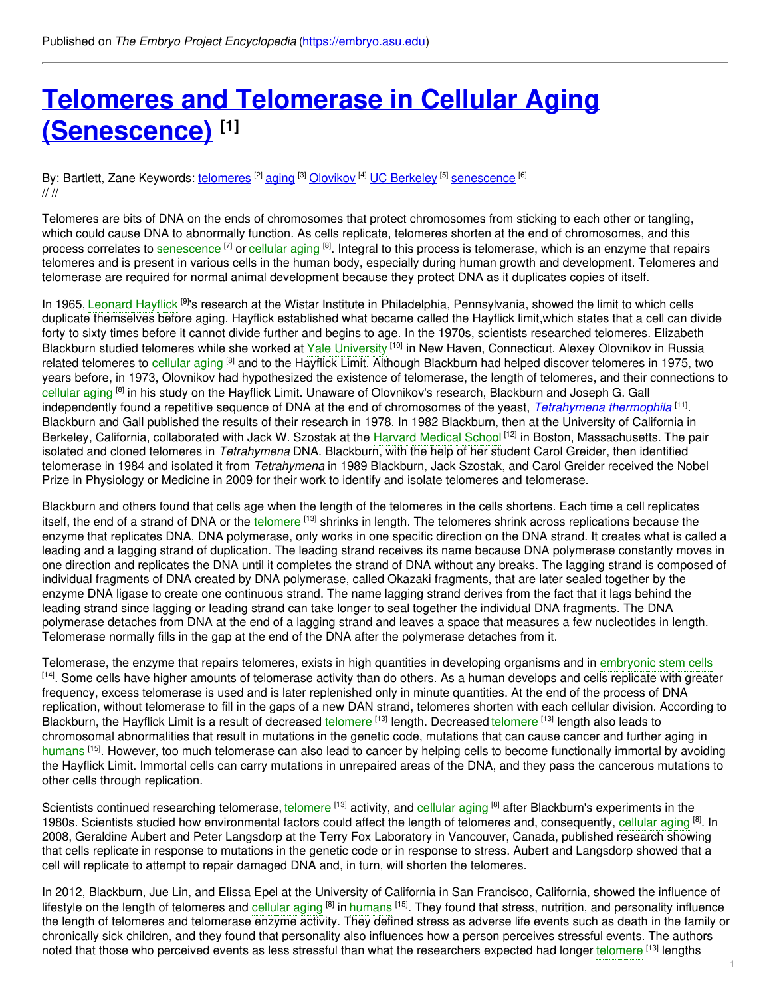# **Telomeres and Telomerase in Cellular Aging [\(Senescence\)](https://embryo.asu.edu/pages/telomeres-and-telomerase-cellular-aging-senescence) [1]**

### By: Bartlett, Zane Keywords: <u>[telomeres](https://embryo.asu.edu/keywords/telomeres)</u> <sup>[2]</sup> [aging](https://embryo.asu.edu/keywords/aging) <sup>[3]</sup> [Olovikov](https://embryo.asu.edu/keywords/olovikov) <sup>[4]</sup> UC [Berkeley](https://embryo.asu.edu/keywords/uc-berkeley) <sup>[5]</sup> [senescence](https://embryo.asu.edu/keywords/senescence) <sup>[6]</sup> // //

Telomeres are bits of DNA on the ends of chromosomes that protect chromosomes from sticking to each other or tangling, which could cause DNA to abnormally function. As cells replicate, telomeres shorten at the end of chromosomes, and this process correlates to [senescence](https://embryo.asu.edu/search?text=senescence) <sup>[7]</sup> or [cellular](https://embryo.asu.edu/search?text=cellular%20aging) aging <sup>[8]</sup>. Integral to this process is telomerase, which is an enzyme that repairs telomeres and is present in various cells in the human body, especially during human growth and development. Telomeres and telomerase are required for normal animal development because they protect DNA as it duplicates copies of itself.

In 1965, [Leonard](https://embryo.asu.edu/search?text=Leonard%20Hayflick) Hayflick <sup>[9]</sup>'s research at the Wistar Institute in Philadelphia, Pennsylvania, showed the limit to which cells duplicate themselves before aging. Hayflick established what became called the Hayflick limit,which states that a cell can divide forty to sixty times before it cannot divide further and begins to age. In the 1970s, scientists researched telomeres. Elizabeth Blackburn studied telomeres while she worked at Yale [University](https://embryo.asu.edu/search?text=Yale%20University) <sup>[10]</sup> in New Haven, Connecticut. Alexey Olovnikov in Russia related telomeres to [cellular](https://embryo.asu.edu/search?text=cellular%20aging) aging <sup>[8]</sup> and to the Hayflick Limit. Although Blackburn had helped discover telomeres in 1975, two years before, in 1973, Olovnikov had hypothesized the existence of telomerase, the length of telomeres, and their connections to [cellular](https://embryo.asu.edu/search?text=cellular%20aging) aging <sup>[8]</sup> in his study on the Hayflick Limit. Unaware of Olovnikov's research, Blackburn and Joseph G. Gall independently found a repetitive sequence of DNA at the end of chromosomes of the yeast, *[Tetrahymena](http://eol.org/pages/11547582/overview) thermophila* <sup>[11]</sup>. Blackburn and Gall published the results of their research in 1978. In 1982 Blackburn, then at the University of California in Berkeley, California, collaborated with Jack W. Szostak at the [Harvard](https://embryo.asu.edu/search?text=Harvard%20Medical%20School) Medical School [12] in Boston, Massachusetts. The pair isolated and cloned telomeres in *Tetrahymena* DNA. Blackburn, with the help of her student Carol Greider, then identified telomerase in 1984 and isolated it from *Tetrahymena* in 1989 Blackburn, Jack Szostak, and Carol Greider received the Nobel Prize in Physiology or Medicine in 2009 for their work to identify and isolate telomeres and telomerase.

Blackburn and others found that cells age when the length of the telomeres in the cells shortens. Each time a cell replicates itself, the end of a strand of DNA or the [telomere](https://embryo.asu.edu/search?text=telomere) <sup>[13]</sup> shrinks in length. The telomeres shrink across replications because the enzyme that replicates DNA, DNA polymerase, only works in one specific direction on the DNA strand. It creates what is called a leading and a lagging strand of duplication. The leading strand receives its name because DNA polymerase constantly moves in one direction and replicates the DNA until it completes the strand of DNA without any breaks. The lagging strand is composed of individual fragments of DNA created by DNA polymerase, called Okazaki fragments, that are later sealed together by the enzyme DNA ligase to create one continuous strand. The name lagging strand derives from the fact that it lags behind the leading strand since lagging or leading strand can take longer to seal together the individual DNA fragments. The DNA polymerase detaches from DNA at the end of a lagging strand and leaves a space that measures a few nucleotides in length. Telomerase normally fills in the gap at the end of the DNA after the polymerase detaches from it.

Telomerase, the enzyme that repairs telomeres, exists in high quantities in developing organisms and in [embryonic](https://embryo.asu.edu/search?text=embryonic%20stem%20cells) stem cells [<sup>14]</sup>. Some cells have higher amounts of telomerase activity than do others. As a human develops and cells replicate with greater frequency, excess telomerase is used and is later replenished only in minute quantities. At the end of the process of DNA replication, without telomerase to fill in the gaps of a new DAN strand, telomeres shorten with each cellular division. According to Blackburn, the Hayflick Limit is a result of decreased [telomere](https://embryo.asu.edu/search?text=telomere) <sup>[13]</sup> length. Decreased telomere <sup>[13]</sup> length also leads to chromosomal abnormalities that result in mutations in the genetic code, mutations that can cause cancer and further aging in [humans](https://embryo.asu.edu/search?text=humans) <sup>[15]</sup>. However, too much telomerase can also lead to cancer by helping cells to become functionally immortal by avoiding the Hayflick Limit. Immortal cells can carry mutations in unrepaired areas of the DNA, and they pass the cancerous mutations to other cells through replication.

Scientists continued researching telomerase, [telomere](https://embryo.asu.edu/search?text=telomere) <sup>[13]</sup> activity, and [cellular](https://embryo.asu.edu/search?text=cellular%20aging) aging <sup>[8]</sup> after Blackburn's experiments in the 1980s. Scientists studied how environmental factors could affect the length of telomeres and, consequently, [cellular](https://embryo.asu.edu/search?text=cellular%20aging) aging [8]. In 2008, Geraldine Aubert and Peter Langsdorp at the Terry Fox Laboratory in Vancouver, Canada, published research showing that cells replicate in response to mutations in the genetic code or in response to stress. Aubert and Langsdorp showed that a cell will replicate to attempt to repair damaged DNA and, in turn, will shorten the telomeres.

In 2012, Blackburn, Jue Lin, and Elissa Epel at the University of California in San Francisco, California, showed the influence of lifestyle on the length of telomeres and [cellular](https://embryo.asu.edu/search?text=cellular%20aging) aging <sup>[8]</sup> in [humans](https://embryo.asu.edu/search?text=humans) <sup>[15]</sup>. They found that stress, nutrition, and personality influence the length of telomeres and telomerase enzyme activity. They defined stress as adverse life events such as death in the family or chronically sick children, and they found that personality also influences how a person perceives stressful events. The authors noted that those who perceived events as less stressful than what the researchers expected had longer [telomere](https://embryo.asu.edu/search?text=telomere) [13] lengths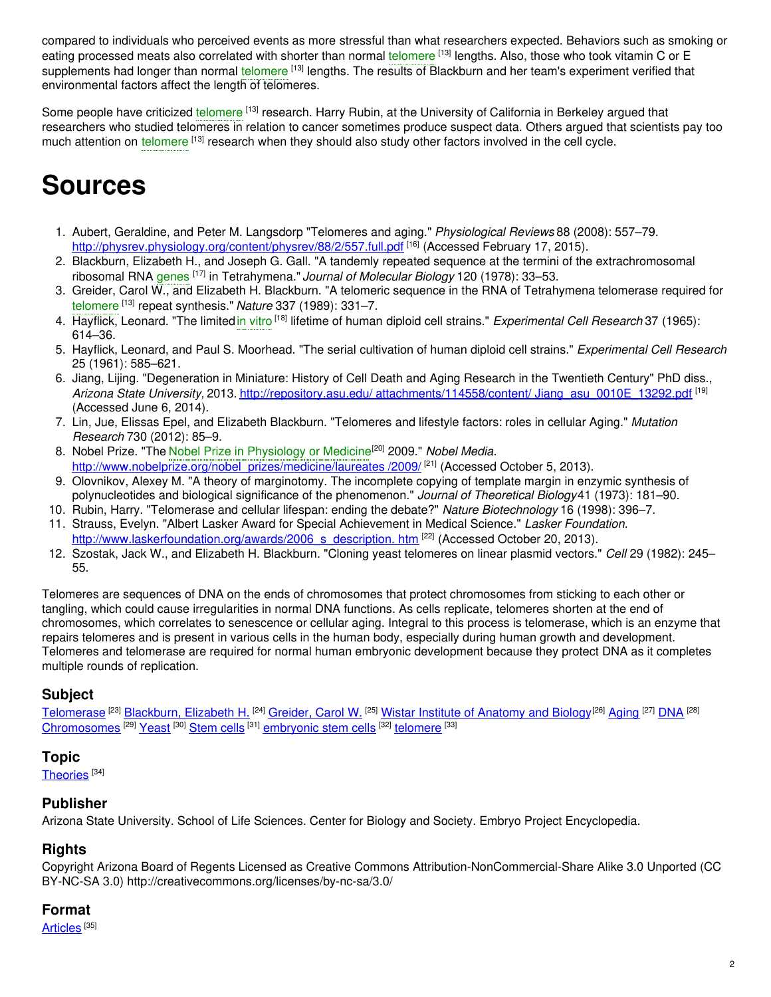compared to individuals who perceived events as more stressful than what researchers expected. Behaviors such as smoking or eating processed meats also correlated with shorter than normal [telomere](https://embryo.asu.edu/search?text=telomere) <sup>[13]</sup> lengths. Also, those who took vitamin C or E supplements had longer than normal [telomere](https://embryo.asu.edu/search?text=telomere) <sup>[13]</sup> lengths. The results of Blackburn and her team's experiment verified that environmental factors affect the length of telomeres.

Some people have criticized [telomere](https://embryo.asu.edu/search?text=telomere) [13] research. Harry Rubin, at the University of California in Berkeley argued that researchers who studied telomeres in relation to cancer sometimes produce suspect data. Others argued that scientists pay too much attention on [telomere](https://embryo.asu.edu/search?text=telomere) <sup>[13]</sup> research when they should also study other factors involved in the cell cycle.

# **Sources**

- 1. Aubert, Geraldine, and Peter M. Langsdorp "Telomeres and aging." *Physiological Reviews* 88 (2008): 557–79. <http://physrev.physiology.org/content/physrev/88/2/557.full.pdf> <sup>[16]</sup> (Accessed February 17, 2015).
- 2. Blackburn, Elizabeth H., and Joseph G. Gall. "A tandemly repeated sequence at the termini of the extrachromosomal ribosomal RNA [genes](https://embryo.asu.edu/search?text=genes) [17] in Tetrahymena." *Journal of Molecular Biology* 120 (1978): 33–53.
- 3. Greider, Carol W., and Elizabeth H. Blackburn. "A telomeric sequence in the RNA of Tetrahymena telomerase required for [telomere](https://embryo.asu.edu/search?text=telomere) [13] repeat synthesis." *Nature* 337 (1989): 331–7.
- 4. Hayflick, Leonard. "The limited in [vitro](https://embryo.asu.edu/search?text=in%20vitro) <sup>[18]</sup> lifetime of human diploid cell strains." *Experimental Cell Research* 37 (1965): 614–36.
- 5. Hayflick, Leonard, and Paul S. Moorhead. "The serial cultivation of human diploid cell strains." *Experimental Cell Research* 25 (1961): 585–621.
- 6. Jiang, Lijing. "Degeneration in Miniature: History of Cell Death and Aging Research in the Twentieth Century" PhD diss., *Arizona State University,* 2013. http://repository.asu.edu/ attachments/114558/content/ [Jiang\\_asu\\_0010E\\_13292.pdf](http://repository.asu.edu/attachments/114558/content/%25%0A%09%0920Jiang_asu_0010E_13292.pdf) [19] (Accessed June 6, 2014).
- 7. Lin, Jue, Elissas Epel, and Elizabeth Blackburn. "Telomeres and lifestyle factors: roles in cellular Aging." *Mutation Research* 730 (2012): 85–9.
- 8. Nobel Prize. "The Nobel Prize in [Physiology](https://embryo.asu.edu/search?text=Nobel%20Prize%20in%20Physiology%20or%20Medicine) or Medicine [20] 2009." *Nobel Media.* [http://www.nobelprize.org/nobel\\_prizes/medicine/laureates](http://www.nobelprize.org/nobel_prizes/medicine/laureates/%0A%09%092009/) /2009/ <sup>[21]</sup> (Accessed October 5, 2013).
- 9. Olovnikov, Alexey M. "A theory of marginotomy. The incomplete copying of template margin in enzymic synthesis of polynucleotides and biological significance of the phenomenon." *Journal of Theoretical Biology*41 (1973): 181–90.
- 10. Rubin, Harry. "Telomerase and cellular lifespan: ending the debate?" *Nature Biotechnology* 16 (1998): 396–7.
- 11. Strauss, Evelyn. "Albert Lasker Award for Special Achievement in Medical Science." *Lasker Foundation.* [http://www.laskerfoundation.org/awards/2006\\_s\\_description.](http://www.laskerfoundation.org/awards/2006_s_description.%0A%09%09htm) htm [22] (Accessed October 20, 2013).
- 12. Szostak, Jack W., and Elizabeth H. Blackburn. "Cloning yeast telomeres on linear plasmid vectors." *Cell* 29 (1982): 245– 55.

Telomeres are sequences of DNA on the ends of chromosomes that protect chromosomes from sticking to each other or tangling, which could cause irregularities in normal DNA functions. As cells replicate, telomeres shorten at the end of chromosomes, which correlates to senescence or cellular aging. Integral to this process is telomerase, which is an enzyme that repairs telomeres and is present in various cells in the human body, especially during human growth and development. Telomeres and telomerase are required for normal human embryonic development because they protect DNA as it completes multiple rounds of replication.

# **Subject**

[Telomerase](https://embryo.asu.edu/library-congress-subject-headings/telomerase) <sup>[23]</sup> [Blackburn,](https://embryo.asu.edu/library-congress-subject-headings/blackburn-elizabeth-h) Elizabeth H. <sup>[24]</sup> [Greider,](https://embryo.asu.edu/library-congress-subject-headings/greider-carol-w) Carol W. <sup>[25]</sup> Wistar Institute of [Anatomy](https://embryo.asu.edu/library-congress-subject-headings/wistar-institute-anatomy-and-biology) and Biology<sup>[26]</sup> [Aging](https://embryo.asu.edu/library-congress-subject-headings/aging) <sup>[27]</sup> [DNA](https://embryo.asu.edu/library-congress-subject-headings/dna) <sup>[28]</sup> [Chromosomes](https://embryo.asu.edu/library-congress-subject-headings/chromosomes) <sup>[29]</sup> [Yeast](https://embryo.asu.edu/library-congress-subject-headings/yeast) <sup>[30]</sup> [Stem](https://embryo.asu.edu/library-congress-subject-headings/stem-cells-0) cells <sup>[31]</sup> [embryonic](https://embryo.asu.edu/library-congress-subject-headings/embryonic-stem-cells) stem cells <sup>[32]</sup> [telomere](https://embryo.asu.edu/medical-subject-headings/telomere) <sup>[33]</sup>

## **Topic**

<u>[Theories](https://embryo.asu.edu/topics/theories)</u> [34]

## **Publisher**

Arizona State University. School of Life Sciences. Center for Biology and Society. Embryo Project Encyclopedia.

## **Rights**

Copyright Arizona Board of Regents Licensed as Creative Commons Attribution-NonCommercial-Share Alike 3.0 Unported (CC BY-NC-SA 3.0) http://creativecommons.org/licenses/by-nc-sa/3.0/

## **Format**

[Articles](https://embryo.asu.edu/formats/articles) <sup>[35]</sup>